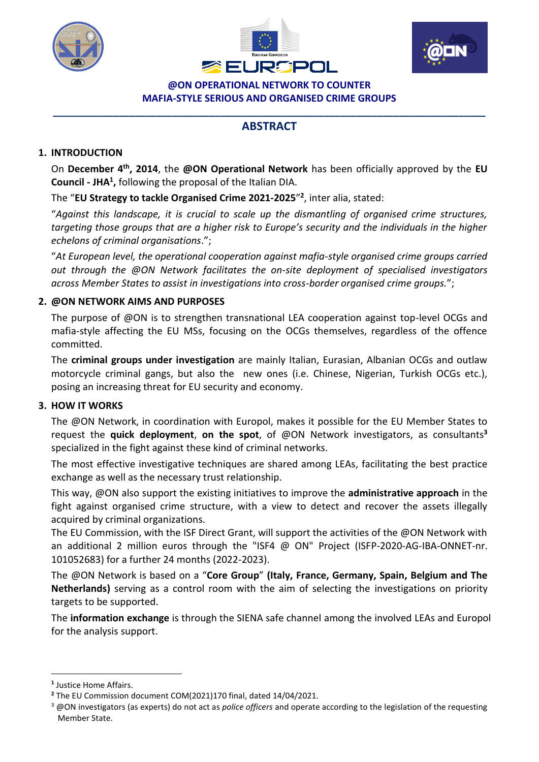





**@ON OPERATIONAL NETWORK TO COUNTER MAFIA-STYLE SERIOUS AND ORGANISED CRIME GROUPS**

# **\_\_\_\_\_\_\_\_\_\_\_\_\_\_\_\_\_\_\_\_\_\_\_\_\_\_\_\_\_\_\_\_\_\_\_\_\_\_\_\_\_\_\_\_\_\_\_\_\_\_\_\_\_\_\_\_\_\_\_\_\_\_\_\_\_\_\_\_\_\_\_\_\_\_\_\_\_\_\_\_ ABSTRACT**

### **1. INTRODUCTION**

On December 4<sup>th</sup>, 2014, the @ON Operational Network has been officially approved by the EU **Council - JHA<sup>1</sup> ,** following the proposal of the Italian DIA.

The "**EU Strategy to tackle Organised Crime 2021-2025**" **2** , inter alia, stated:

"*Against this landscape, it is crucial to scale up the dismantling of organised crime structures, targeting those groups that are a higher risk to Europe's security and the individuals in the higher echelons of criminal organisations*.";

"*At European level, the operational cooperation against mafia-style organised crime groups carried out through the @ON Network facilitates the on-site deployment of specialised investigators across Member States to assist in investigations into cross-border organised crime groups.*";

# **2. @ON NETWORK AIMS AND PURPOSES**

The purpose of @ON is to strengthen transnational LEA cooperation against top-level OCGs and mafia-style affecting the EU MSs, focusing on the OCGs themselves, regardless of the offence committed.

The **criminal groups under investigation** are mainly Italian, Eurasian, Albanian OCGs and outlaw motorcycle criminal gangs, but also the new ones (i.e. Chinese, Nigerian, Turkish OCGs etc.), posing an increasing threat for EU security and economy.

### **3. HOW IT WORKS**

The @ON Network, in coordination with Europol, makes it possible for the EU Member States to request the **quick deployment**, **on the spot**, of @ON Network investigators, as consultants**<sup>3</sup>** specialized in the fight against these kind of criminal networks.

The most effective investigative techniques are shared among LEAs, facilitating the best practice exchange as well as the necessary trust relationship.

This way, @ON also support the existing initiatives to improve the **administrative approach** in the fight against organised crime structure, with a view to detect and recover the assets illegally acquired by criminal organizations.

The EU Commission, with the ISF Direct Grant, will support the activities of the @ON Network with an additional 2 million euros through the "ISF4 @ ON" Project (ISFP-2020-AG-IBA-ONNET-nr. 101052683) for a further 24 months (2022-2023).

The @ON Network is based on a "**Core Group**" **(Italy, France, Germany, Spain, Belgium and The Netherlands)** serving as a control room with the aim of selecting the investigations on priority targets to be supported.

The **information exchange** is through the SIENA safe channel among the involved LEAs and Europol for the analysis support.

1

**<sup>1</sup>** Justice Home Affairs.

**<sup>2</sup>** The EU Commission document COM(2021)170 final, dated 14/04/2021.

<sup>3</sup> @ON investigators (as experts) do not act as *police officers* and operate according to the legislation of the requesting Member State.